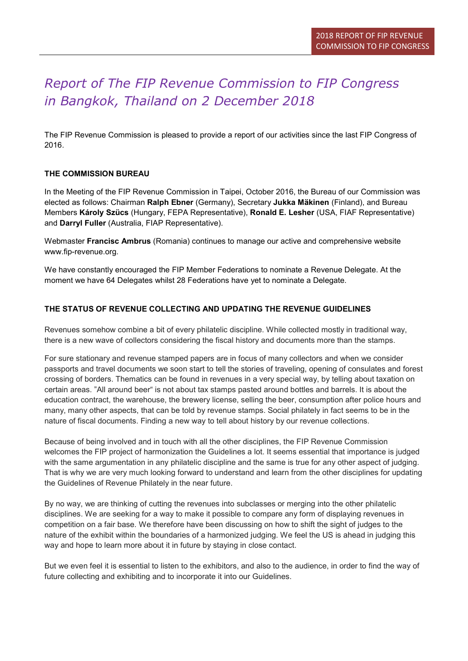# Report of The FIP Revenue Commission to FIP Congress in Bangkok, Thailand on 2 December 2018

The FIP Revenue Commission is pleased to provide a report of our activities since the last FIP Congress of 2016.

## THE COMMISSION BUREAU

In the Meeting of the FIP Revenue Commission in Taipei, October 2016, the Bureau of our Commission was elected as follows: Chairman Ralph Ebner (Germany), Secretary Jukka Mäkinen (Finland), and Bureau Members Károly Szücs (Hungary, FEPA Representative), Ronald E. Lesher (USA, FIAF Representative) and Darryl Fuller (Australia, FIAP Representative).

Webmaster Francisc Ambrus (Romania) continues to manage our active and comprehensive website www.fip-revenue.org.

We have constantly encouraged the FIP Member Federations to nominate a Revenue Delegate. At the moment we have 64 Delegates whilst 28 Federations have yet to nominate a Delegate.

## THE STATUS OF REVENUE COLLECTING AND UPDATING THE REVENUE GUIDELINES

Revenues somehow combine a bit of every philatelic discipline. While collected mostly in traditional way, there is a new wave of collectors considering the fiscal history and documents more than the stamps.

For sure stationary and revenue stamped papers are in focus of many collectors and when we consider passports and travel documents we soon start to tell the stories of traveling, opening of consulates and forest crossing of borders. Thematics can be found in revenues in a very special way, by telling about taxation on certain areas. "All around beer" is not about tax stamps pasted around bottles and barrels. It is about the education contract, the warehouse, the brewery license, selling the beer, consumption after police hours and many, many other aspects, that can be told by revenue stamps. Social philately in fact seems to be in the nature of fiscal documents. Finding a new way to tell about history by our revenue collections.

Because of being involved and in touch with all the other disciplines, the FIP Revenue Commission welcomes the FIP project of harmonization the Guidelines a lot. It seems essential that importance is judged with the same argumentation in any philatelic discipline and the same is true for any other aspect of judging. That is why we are very much looking forward to understand and learn from the other disciplines for updating the Guidelines of Revenue Philately in the near future.

By no way, we are thinking of cutting the revenues into subclasses or merging into the other philatelic disciplines. We are seeking for a way to make it possible to compare any form of displaying revenues in competition on a fair base. We therefore have been discussing on how to shift the sight of judges to the nature of the exhibit within the boundaries of a harmonized judging. We feel the US is ahead in judging this way and hope to learn more about it in future by staying in close contact.

But we even feel it is essential to listen to the exhibitors, and also to the audience, in order to find the way of future collecting and exhibiting and to incorporate it into our Guidelines.